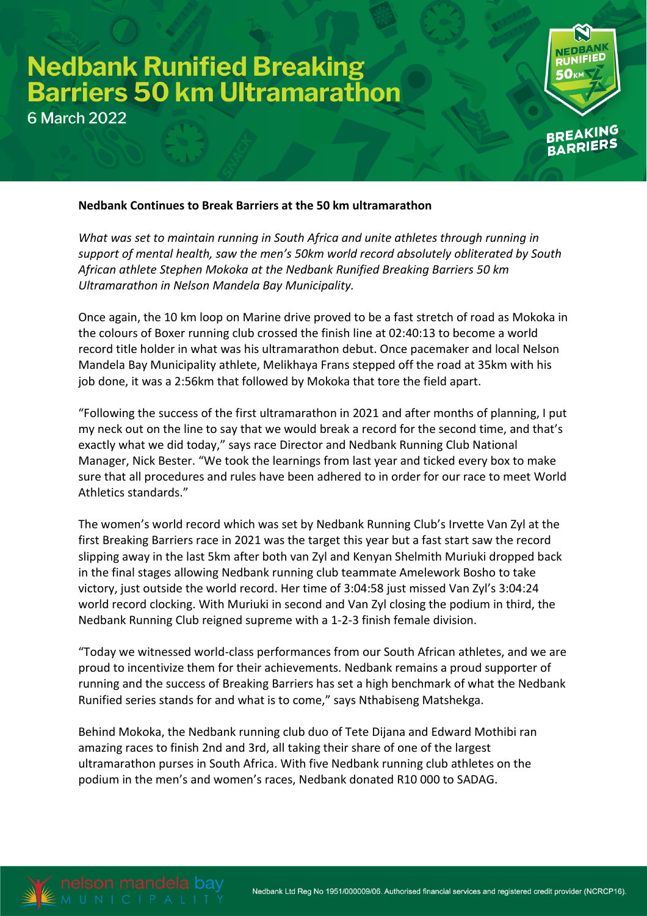## **Nedbank Runified Breaking<br>Barriers 50 km Ultramarathon**

**6 March 2022** 



## **Nedbank Continues to Break Barriers at the 50 km ultramarathon**

*What was set to maintain running in South Africa and unite athletes through running in support of mental health, saw the men's 50km world record absolutely obliterated by South African athlete Stephen Mokoka at the Nedbank Runified Breaking Barriers 50 km Ultramarathon in Nelson Mandela Bay Municipality.* 

Once again, the 10 km loop on Marine drive proved to be a fast stretch of road as Mokoka in the colours of Boxer running club crossed the finish line at 02:40:13 to become a world record title holder in what was his ultramarathon debut. Once pacemaker and local Nelson Mandela Bay Municipality athlete, Melikhaya Frans stepped off the road at 35km with his job done, it was a 2:56km that followed by Mokoka that tore the field apart.

"Following the success of the first ultramarathon in 2021 and after months of planning, I put my neck out on the line to say that we would break a record for the second time, and that's exactly what we did today," says race Director and Nedbank Running Club National Manager, Nick Bester. "We took the learnings from last year and ticked every box to make sure that all procedures and rules have been adhered to in order for our race to meet World Athletics standards."

The women's world record which was set by Nedbank Running Club's Irvette Van Zyl at the first Breaking Barriers race in 2021 was the target this year but a fast start saw the record slipping away in the last 5km after both van Zyl and Kenyan Shelmith Muriuki dropped back in the final stages allowing Nedbank running club teammate Amelework Bosho to take victory, just outside the world record. Her time of 3:04:58 just missed Van Zyl's 3:04:24 world record clocking. With Muriuki in second and Van Zyl closing the podium in third, the Nedbank Running Club reigned supreme with a 1-2-3 finish female division.

"Today we witnessed world-class performances from our South African athletes, and we are proud to incentivize them for their achievements. Nedbank remains a proud supporter of running and the success of Breaking Barriers has set a high benchmark of what the Nedbank Runified series stands for and what is to come," says Nthabiseng Matshekga.

Behind Mokoka, the Nedbank running club duo of Tete Dijana and Edward Mothibi ran amazing races to finish 2nd and 3rd, all taking their share of one of the largest ultramarathon purses in South Africa. With five Nedbank running club athletes on the podium in the men's and women's races, Nedbank donated R10 000 to SADAG.